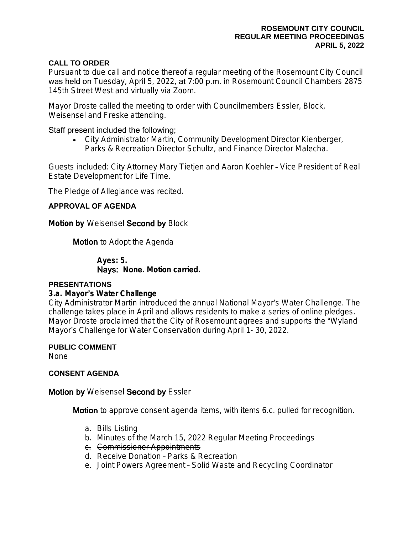## **CALL TO ORDER**

Pursuant to due call and notice thereof a regular meeting of the Rosemount City Council was held on Tuesday, April 5, 2022, at 7:00 p.m. in Rosemount Council Chambers 2875 145th Street West and virtually via Zoom.

Mayor Droste called the meeting to order with Councilmembers Essler, Block, Weisensel and Freske attending.

## Staff present included the following;

 City Administrator Martin, Community Development Director Kienberger, Parks & Recreation Director Schultz, and Finance Director Malecha.

Guests included: City Attorney Mary Tietjen and Aaron Koehler – Vice President of Real Estate Development for Life Time.

The Pledge of Allegiance was recited.

# **APPROVAL OF AGENDA**

**Motion by** Weisensel Second by Block

**Motion** to Adopt the Agenda

**Ayes: 5.** Nays: **None. Motion carried.**

## **PRESENTATIONS**

## **3.a. Mayor**'**s Water Challenge**

City Administrator Martin introduced the annual National Mayor's Water Challenge. The challenge takes place in April and allows residents to make a series of online pledges. Mayor Droste proclaimed that the City of Rosemount agrees and supports the "Wyland Mayor's Challenge for Water Conservation during April 1- 30, 2022.

**PUBLIC COMMENT**

None

## **CONSENT AGENDA**

# **Motion by Weisensel Second by Essler**

**Motion** to approve consent agenda items, with items 6.c. pulled for recognition.

- a. Bills Listing
- b. Minutes of the March 15, 2022 Regular Meeting Proceedings
- c. Commissioner Appointments
- d. Receive Donation Parks & Recreation
- e. Joint Powers Agreement Solid Waste and Recycling Coordinator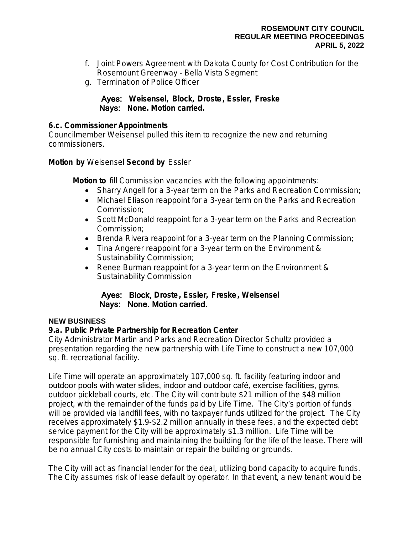- f. Joint Powers Agreement with Dakota County for Cost Contribution for the Rosemount Greenway - Bella Vista Segment
- g. Termination of Police Officer

# Ayes: **Weisensel, Block, Droste, Essler, Freske** Nays: **None. Motion carried.**

# **6.c. Commissioner Appointments**

Councilmember Weisensel pulled this item to recognize the new and returning commissioners.

**Motion by** Weisensel **Second by** Essler

**Motion to** fill Commission vacancies with the following appointments:

- Sharry Angell for a 3-year term on the Parks and Recreation Commission;
- Michael Eliason reappoint for a 3-year term on the Parks and Recreation Commission;
- Scott McDonald reappoint for a 3-year term on the Parks and Recreation Commission;
- Brenda Rivera reappoint for a 3-year term on the Planning Commission;
- Tina Angerer reappoint for a 3-year term on the Environment & Sustainability Commission;
- Renee Burman reappoint for a 3-year term on the Environment & Sustainability Commission

# Ayes: Block, **Droste, Essler, Freske, Weisensel** Nays: None. Motion carried.

# **NEW BUSINESS**

# **9.a. Public Private Partnership for Recreation Center**

City Administrator Martin and Parks and Recreation Director Schultz provided a presentation regarding the new partnership with Life Time to construct a new 107,000 sq. ft. recreational facility.

Life Time will operate an approximately 107,000 sq. ft. facility featuring indoor and outdoor pools with water slides, indoor and outdoor café, exercise facilities, gyms, outdoor pickleball courts, etc. The City will contribute \$21 million of the \$48 million project, with the remainder of the funds paid by Life Time. The City's portion of funds will be provided via landfill fees, with no taxpayer funds utilized for the project. The City receives approximately \$1.9-\$2.2 million annually in these fees, and the expected debt service payment for the City will be approximately \$1.3 million. Life Time will be responsible for furnishing and maintaining the building for the life of the lease. There will be no annual City costs to maintain or repair the building or grounds.

The City will act as financial lender for the deal, utilizing bond capacity to acquire funds. The City assumes risk of lease default by operator. In that event, a new tenant would be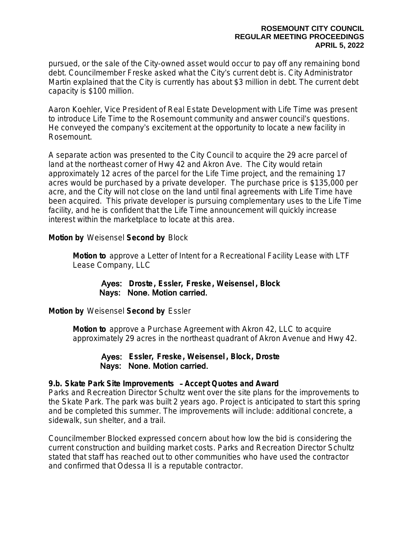pursued, or the sale of the City-owned asset would occur to pay off any remaining bond debt. Councilmember Freske asked what the City's current debt is. City Administrator Martin explained that the City is currently has about \$3 million in debt. The current debt capacity is \$100 million.

Aaron Koehler, Vice President of Real Estate Development with Life Time was present to introduce Life Time to the Rosemount community and answer council's questions. He conveyed the company's excitement at the opportunity to locate a new facility in Rosemount.

A separate action was presented to the City Council to acquire the 29 acre parcel of land at the northeast corner of Hwy 42 and Akron Ave. The City would retain approximately 12 acres of the parcel for the Life Time project, and the remaining 17 acres would be purchased by a private developer. The purchase price is \$135,000 per acre, and the City will not close on the land until final agreements with Life Time have been acquired. This private developer is pursuing complementary uses to the Life Time facility, and he is confident that the Life Time announcement will quickly increase interest within the marketplace to locate at this area.

**Motion by** Weisensel **Second by** Block

**Motion to** approve a Letter of Intent for a Recreational Facility Lease with LTF Lease Company, LLC

# Ayes: **Droste, Essler, Freske, Weisensel , Block** Nays: None. Motion carried.

**Motion by** Weisensel **Second by** Essler

**Motion to** approve a Purchase Agreement with Akron 42, LLC to acquire approximately 29 acres in the northeast quadrant of Akron Avenue and Hwy 42.

Ayes: **Essler, Freske, Weisensel , Block, Droste** Nays: None. Motion carried.

# **9.b. Skate Park Site Improvements** – **Accept Quotes and Award**

Parks and Recreation Director Schultz went over the site plans for the improvements to the Skate Park. The park was built 2 years ago. Project is anticipated to start this spring and be completed this summer. The improvements will include: additional concrete, a sidewalk, sun shelter, and a trail.

Councilmember Blocked expressed concern about how low the bid is considering the current construction and building market costs. Parks and Recreation Director Schultz stated that staff has reached out to other communities who have used the contractor and confirmed that Odessa II is a reputable contractor.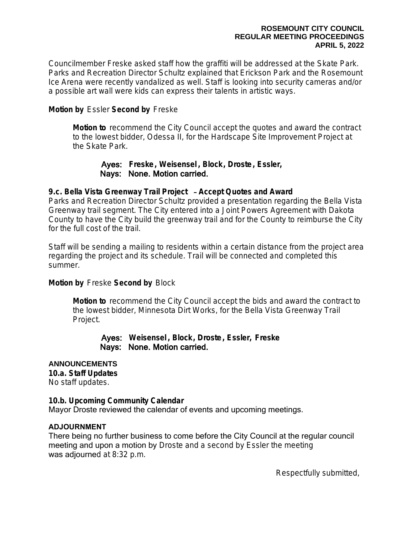Councilmember Freske asked staff how the graffiti will be addressed at the Skate Park. Parks and Recreation Director Schultz explained that Erickson Park and the Rosemount Ice Arena were recently vandalized as well. Staff is looking into security cameras and/or a possible art wall were kids can express their talents in artistic ways.

# **Motion by** Essler **Second by** Freske

**Motion to** recommend the City Council accept the quotes and award the contract to the lowest bidder, Odessa II, for the Hardscape Site Improvement Project at the Skate Park.

# Ayes: **Freske, Weisensel , Block, Droste, Essler,** Nays: None. Motion carried.

## **9.c. Bella Vista Greenway Trail Project** – **Accept Quotes and Award**

Parks and Recreation Director Schultz provided a presentation regarding the Bella Vista Greenway trail segment. The City entered into a Joint Powers Agreement with Dakota County to have the City build the greenway trail and for the County to reimburse the City for the full cost of the trail.

Staff will be sending a mailing to residents within a certain distance from the project area regarding the project and its schedule. Trail will be connected and completed this summer.

# **Motion by** Freske **Second by** Block

**Motion to** recommend the City Council accept the bids and award the contract to the lowest bidder, Minnesota Dirt Works, for the Bella Vista Greenway Trail Project.

## Ayes: **Weisensel , Block, Droste, Essler, Freske** Nays: None. Motion carried.

## **ANNOUNCEMENTS**

**10.a. Staff Updates**

No staff updates.

## **10.b. Upcoming Community Calendar**

Mayor Droste reviewed the calendar of events and upcoming meetings.

## **ADJOURNMENT**

There being no further business to come before the City Council at the regular council meeting and upon a motion by Droste and a second by Essler the meeting was adjourned at 8:32 p.m.

Respectfully submitted,